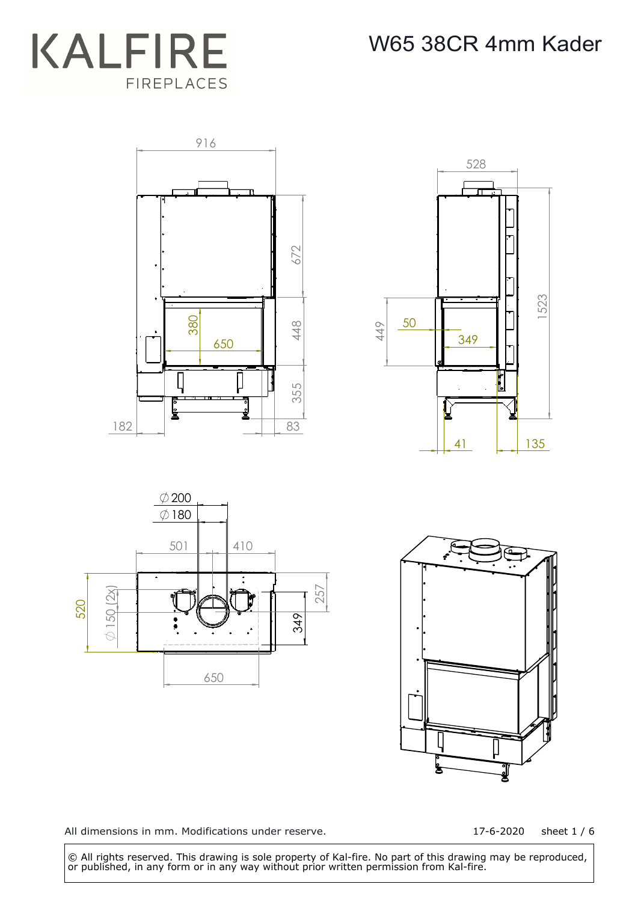









17-6-2020 sheet 1 / 6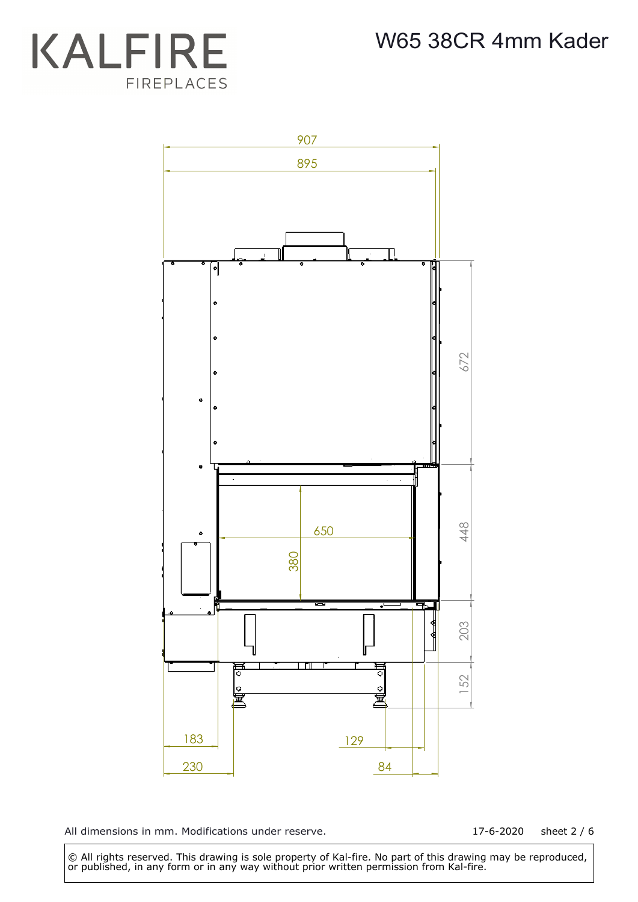## **KALFIRE** FIREPLACES



All dimensions in mm. Modifications under reserve.

17-6-2020 sheet 2 / 6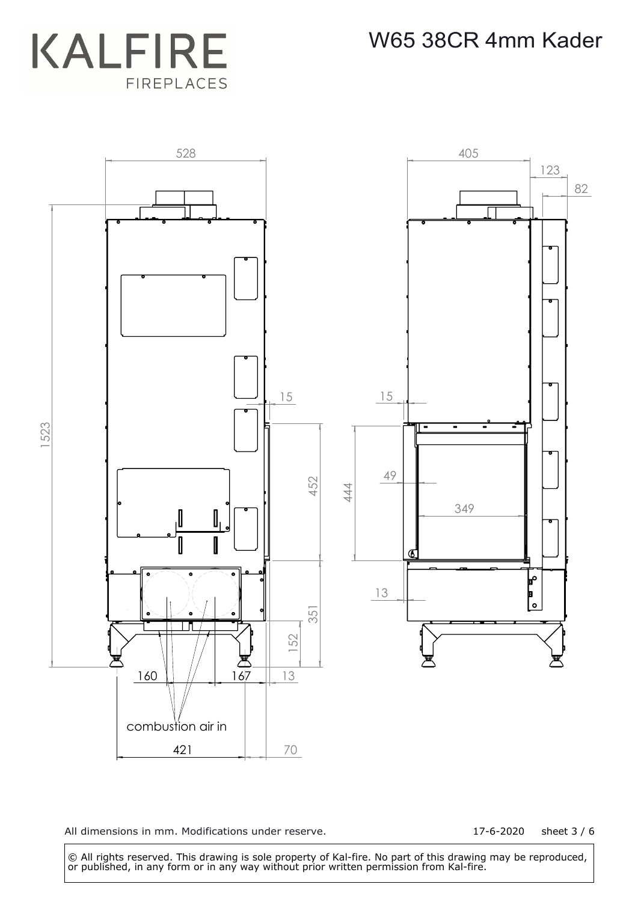



17-6-2020 sheet 3 / 6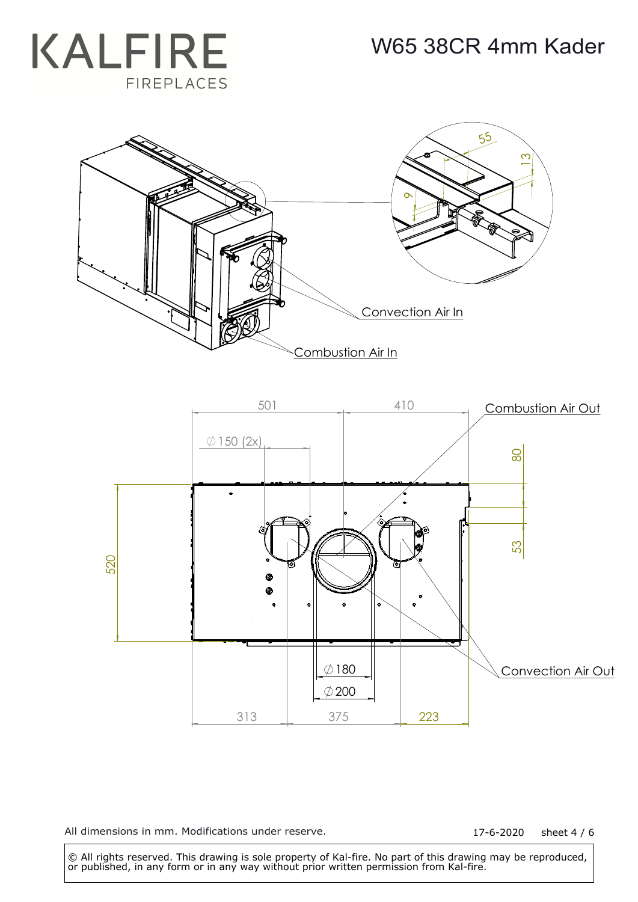





17-6-2020 sheet 4 / 6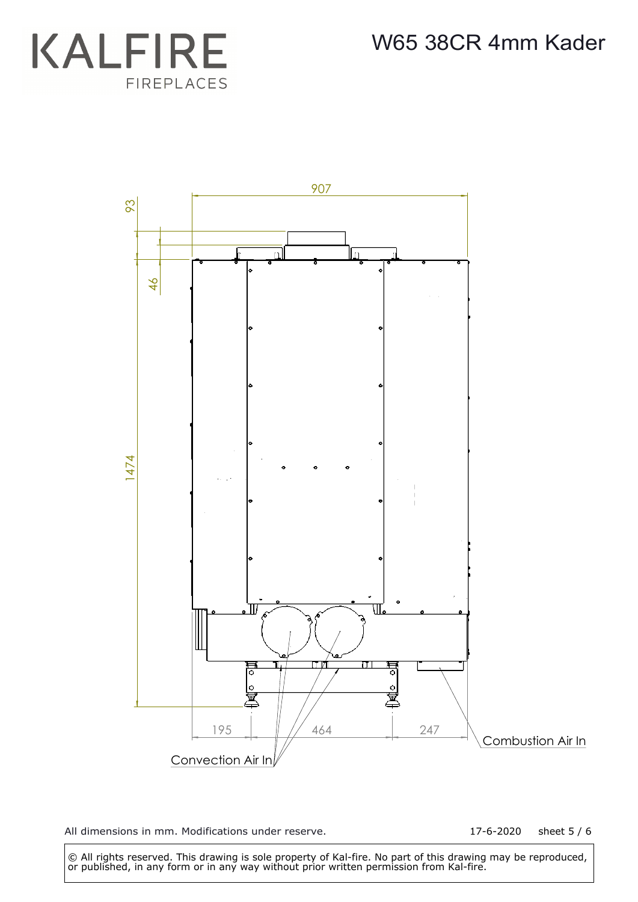



17-6-2020 sheet 5 / 6